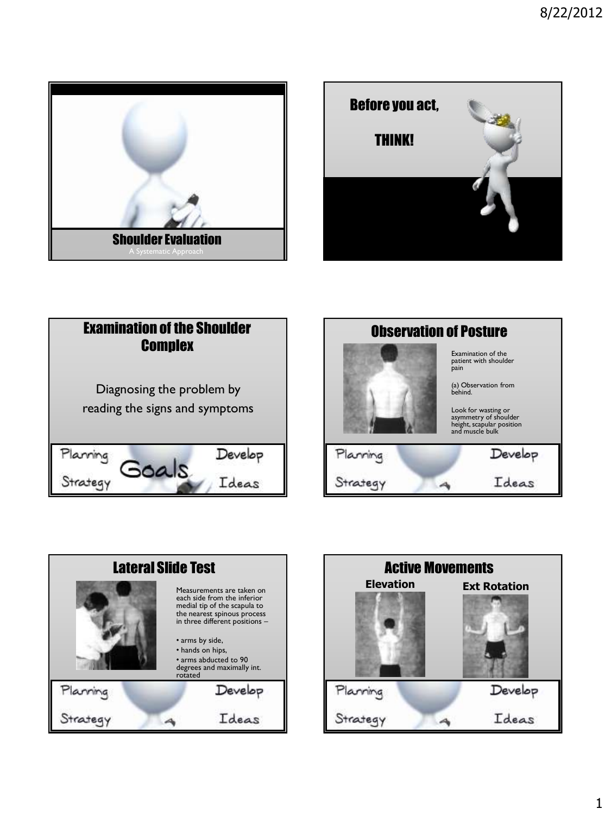









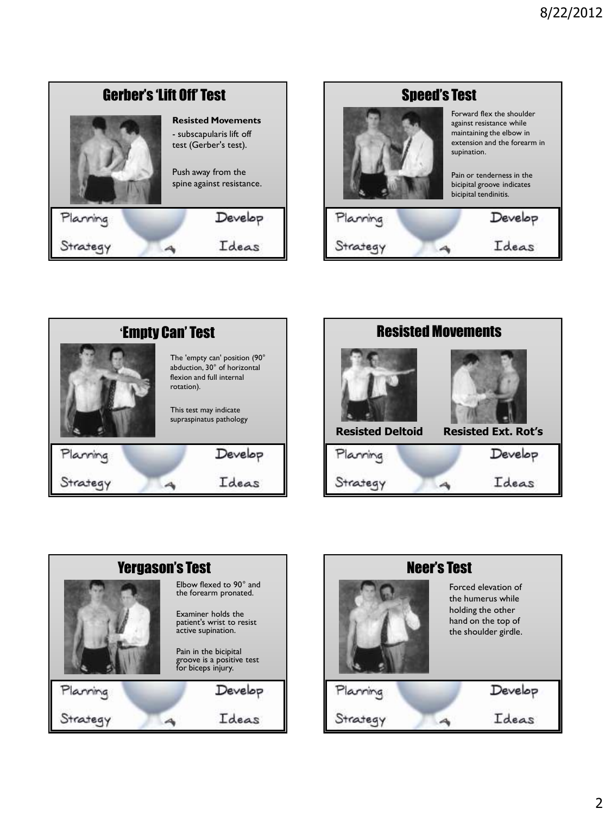









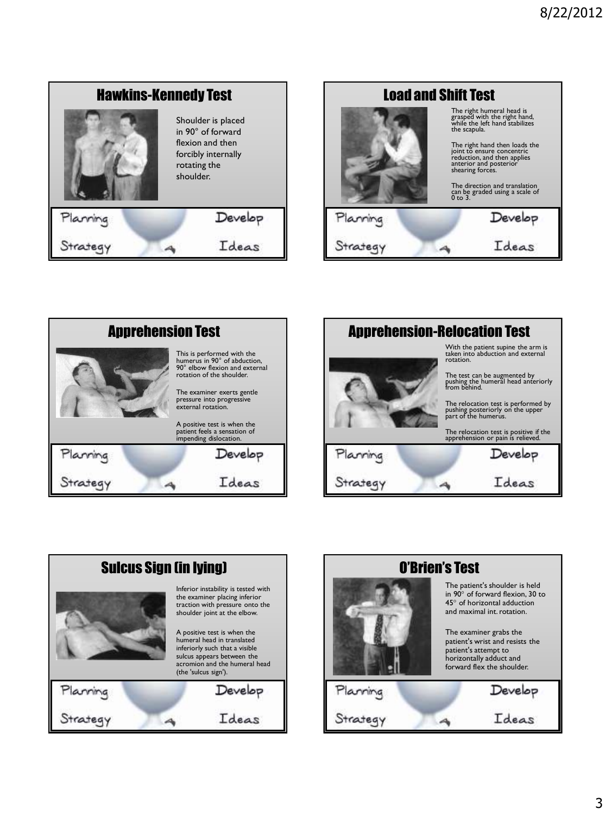